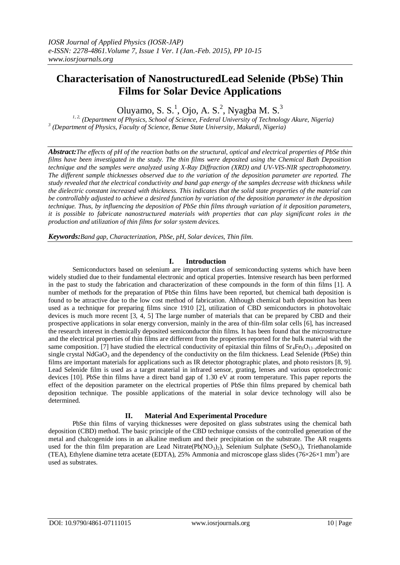# **Characterisation of NanostructuredLead Selenide (PbSe) Thin Films for Solar Device Applications**

Oluyamo, S. S.<sup>1</sup>, Ojo, A. S.<sup>2</sup>, Nyagba M. S.<sup>3</sup>

*1, 2, (Department of Physics, School of Science, Federal University of Technology Akure, Nigeria) 3 (Department of Physics, Faculty of Science, Benue State University, Makurdi, Nigeria)*

*Abstract:The effects of pH of the reaction baths on the structural, optical and electrical properties of PbSe thin films have been investigated in the study. The thin films were deposited using the Chemical Bath Deposition technique and the samples were analyzed using X-Ray Diffraction (XRD) and UV-VIS-NIR spectrophotometry. The different sample thicknesses observed due to the variation of the deposition parameter are reported. The study revealed that the electrical conductivity and band gap energy of the samples decrease with thickness while the dielectric constant increased with thickness. This indicates that the solid state properties of the material can be controllably adjusted to achieve a desired function by variation of the deposition parameter in the deposition technique. Thus, by influencing the deposition of PbSe thin films through variation of it deposition parameters, it is possible to fabricate nanostructured materials with properties that can play significant roles in the production and utilization of thin films for solar system devices.*

*Keywords:Band gap, Characterization, PbSe, pH, Solar devices, Thin film*.

### **I. Introduction**

Semiconductors based on selenium are important class of semiconducting systems which have been widely studied due to their fundamental electronic and optical properties. Intensive research has been performed in the past to study the fabrication and characterization of these compounds in the form of thin films [1]. A number of methods for the preparation of PbSe thin films have been reported, but chemical bath deposition is found to be attractive due to the low cost method of fabrication. Although chemical bath deposition has been used as a technique for preparing films since 1910 [2], utilization of CBD semiconductors in photovoltaic devices is much more recent [3, 4, 5] The large number of materials that can be prepared by CBD and their prospective applications in solar energy conversion, mainly in the area of thin-film solar cells [6], has increased the research interest in chemically deposited semiconductor thin films. It has been found that the microstructure and the electrical properties of thin films are different from the properties reported for the bulk material with the same composition. [7] have studied the electrical conductivity of epitaxial thin films of  $Sr_4Fe_6O_{13-}\rho$  deposited on single crystal  $N_dGaO_3$  and the dependency of the conductivity on the film thickness. Lead Selenide (PbSe) thin films are important materials for applications such as IR detector photographic plates, and photo resistors [8, 9]. Lead Selenide film is used as a target material in infrared sensor, grating, lenses and various optoelectronic devices [10]. PbSe thin films have a direct band gap of 1.30 eV at room temperature. This paper reports the effect of the deposition parameter on the electrical properties of PbSe thin films prepared by chemical bath deposition technique. The possible applications of the material in solar device technology will also be determined.

### **II. Material And Experimental Procedure**

PbSe thin films of varying thicknesses were deposited on glass substrates using the chemical bath deposition (CBD) method. The basic principle of the CBD technique consists of the controlled generation of the metal and chalcogenide ions in an alkaline medium and their precipitation on the substrate. The AR reagents used for the thin film preparation are Lead Nitrate( $Pb(NO_3)$ ), Selenium Sulphate (SeSO<sub>3</sub>), Triethanolamide (TEA), Ethylene diamine tetra acetate (EDTA), 25% Ammonia and microscope glass slides (76×26×1 mm<sup>3</sup>) are used as substrates.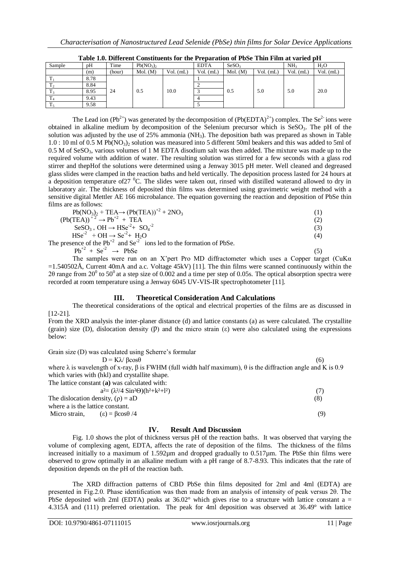|         |      |        |                                   |             |             | A WALV AIVI A MANYA YAN U VANJYAYMYANU AVA YANY A A YIN'WA WYAVAA VA A MLIY A MAMA A MAMA WY I WA AY W MAA . |             |                 |             |
|---------|------|--------|-----------------------------------|-------------|-------------|--------------------------------------------------------------------------------------------------------------|-------------|-----------------|-------------|
| Sample  | pH   | Time   | Pb(NO <sub>3</sub> ) <sub>2</sub> |             | <b>EDTA</b> | SeSO <sub>3</sub>                                                                                            |             | NH <sub>3</sub> | $H_2O$      |
|         | (m)  | (hour) | Mol. (M)                          | $Vol.$ (mL) | $Vol.$ (mL) | Mol. (M)                                                                                                     | $Vol.$ (mL) | $Vol.$ (mL)     | $Vol.$ (mL) |
|         | 8.78 |        |                                   |             |             |                                                                                                              |             |                 |             |
|         | 8.84 |        |                                   |             |             |                                                                                                              |             |                 |             |
| $\pm$ 3 | 8.95 | 24     | 0.5                               | 10.0        |             | 0.5                                                                                                          | 5.0         | 5.0             | 20.0        |
| $\pm 4$ | 9.43 |        |                                   |             |             |                                                                                                              |             |                 |             |
|         | 9.58 |        |                                   |             |             |                                                                                                              |             |                 |             |

| Table 1.0. Different Constituents for the Preparation of PbSe Thin Film at varied pH |  |  |  |
|--------------------------------------------------------------------------------------|--|--|--|
|                                                                                      |  |  |  |

The Lead ion (Pb<sup>2+</sup>) was generated by the decomposition of (Pb(EDTA)<sup>2+</sup>) complex. The Se<sup>2-</sup> ions were obtained in alkaline medium by decomposition of the Selenium precursor which is  $SessO<sub>3</sub>$ . The pH of the solution was adjusted by the use of 25% ammonia (NH3). The deposition bath was prepared as shown in Table 1.0 : 10 ml of 0.5 M Pb(NO3)<sup>2</sup> solution was measured into 5 different 50ml beakers and this was added to 5ml of 0.5 M of SeSO<sub>3</sub>, various volumes of 1 M EDTA disodium salt was then added. The mixture was made up to the required volume with addition of water. The resulting solution was stirred for a few seconds with a glass rod stirrer and thepHof the solutions were determined using a Jenway 3015 pH meter. Well cleaned and degreased glass slides were clamped in the reaction baths and held vertically. The deposition process lasted for 24 hours at a deposition temperature of 27 <sup>0</sup>C. The slides were taken out, rinsed with distilled waterand allowed to dry in laboratory air. The thickness of deposited thin films was determined using gravimetric weight method with a sensitive digital Mettler AE 166 microbalance. The equation governing the reaction and deposition of PbSe thin films are as follows:

| $Pb(NO3)2 + TEA \rightarrow (Pb(TEA))+2 + 2NO3$                               |     |
|-------------------------------------------------------------------------------|-----|
| $(Pb(TEA))$ <sup>+2</sup> $\rightarrow$ $Pb$ <sup>+2</sup> + TEA              | (2) |
| $\text{SeSO}_{3+} \text{OH} \rightarrow \text{HSe}^{2} + \text{SO}_{4}^{-2}$  | (3) |
| $HSe^{-2} + OH \rightarrow Se^{-2} + H2O$                                     | (4) |
| The presence of the $Pb^{2}$ and $Se^{-2}$ ions led to the formation of PbSe. |     |
| $Ph^{+2} + Se^{-2} \rightarrow PhSe$                                          | 6   |

The samples were run on an X'pert Pro MD diffractometer which uses a Copper target (CuKα =1.540502Å, Current 40mA and a.c. Voltage 45kV) [11]. The thin films were scanned continuously within the 20 range from 20<sup>0</sup> to 50<sup>0</sup> at a step size of 0.002 and a time per step of 0.05s. The optical absorption spectra were recorded at room temperature using a Jenway 6045 UV-VIS-IR spectrophotometer [11].

### **III. Theoretical Consideration And Calculations**

The theoretical considerations of the optical and electrical properties of the films are as discussed in [12-21].

From the XRD analysis the inter-planer distance (d) and lattice constants (a) as were calculated. The crystallite (grain) size (D), dislocation density ( $P$ ) and the micro strain ( $\varepsilon$ ) were also calculated using the expressions below:

Grain size (D) was calculated using Scherre's formular

 $D = K\lambda/ \text{Bcos}\theta$  (6) where  $\lambda$  is wavelength of x-ray,  $\beta$  is FWHM (full width half maximum),  $\theta$  is the diffraction angle and K is 0.9 which varies with (hkl) and crystallite shape.

The lattice constant (**a)** was calculated with:  $a^{2} = (\lambda^{2}/4 \sin^{2}\theta)(h^{2} + k^{2} + l^{2})$  (7) The dislocation density,  $(\rho) = aD$  (8) where a is the lattice constant. Micro strain,  $(\epsilon) = \beta \cos \theta / 4$  (9)

## **IV. Result And Discussion**

Fig. 1.0 shows the plot of thickness versus pH of the reaction baths. It was observed that varying the volume of complexing agent, EDTA, affects the rate of deposition of the films. The thickness of the films increased initially to a maximum of 1.592µm and dropped gradually to 0.517µm. The PbSe thin films were observed to grow optimally in an alkaline medium with a pH range of 8.7-8.93. This indicates that the rate of deposition depends on the pH of the reaction bath.

The XRD diffraction patterns of CBD PbSe thin films deposited for 2ml and 4ml (EDTA) are presented in Fig.2.0. Phase identification was then made from an analysis of intensity of peak versus 2θ. The PbSe deposited with 2ml (EDTA) peaks at  $36.02^{\circ}$  which gives rise to a structure with lattice constant a = 4.315Å and (111) preferred orientation. The peak for 4ml deposition was observed at 36.49° with lattice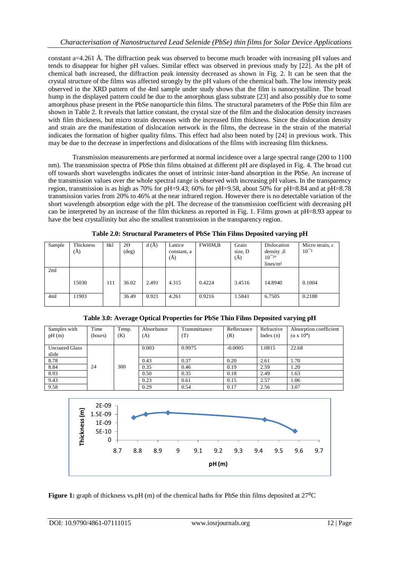constant a=4.261 Å. The diffraction peak was observed to become much broader with increasing pH values and tends to disappear for higher pH values. Similar effect was observed in previous study by [22]. As the pH of chemical bath increased, the diffraction peak intensity decreased as shown in Fig. 2. It can be seen that the crystal structure of the films was affected strongly by the pH values of the chemical bath. The low intensity peak observed in the XRD pattern of the 4ml sample under study shows that the film is nanocrystalline. The broad hump in the displayed pattern could be due to the amorphous glass substrate [23] and also possibly due to some amorphous phase present in the PbSe nanoparticle thin films. The structural parameters of the PbSe thin film are shown in Table 2. It reveals that lattice constant, the crystal size of the film and the dislocation density increases with film thickness, but micro strain decreases with the increased film thickness. Since the dislocation density and strain are the manifestation of dislocation network in the films, the decrease in the strain of the material indicates the formation of higher quality films. This effect had also been noted by [24] in previous work. This may be due to the decrease in imperfections and dislocations of the films with increasing film thickness.

Transmission measurements are performed at normal incidence over a large spectral range (200 to 1100 nm). The transmission spectra of PbSe thin films obtained at different pH are displayed in Fig. 4. The broad cut off towards short wavelengths indicates the onset of intrinsic inter-band absorption in the PbSe. An increase of the transmission values over the whole spectral range is observed with increasing pH values. In the transparency region, transmission is as high as 70% for pH=9.43; 60% for pH=9.58, about 50% for pH=8.84 and at pH=8.78 transmission varies from 20% to 46% at the near infrared region. However there is no detectable variation of the short wavelength absorption edge with the pH. The decrease of the transmission coefficient with decreasing pH can be interpreted by an increase of the film thickness as reported in Fig. 1. Films grown at pH=8.93 appear to have the best crystallinity but also the smallest transmission in the transparency region.

| Sample | Thickness<br>(A) | hkl | $2\Theta$<br>$(\text{deg})$ | d(A)  | Lattice<br>constant, a<br>(Ă) | <b>FWHM,B</b> | Grain<br>size, D<br>(A) | Dislocation<br>density, $\delta$<br>$10^{-20}$<br>lines/m <sup>2</sup> | Micro strain, ε<br>$10^{-3}$ |
|--------|------------------|-----|-----------------------------|-------|-------------------------------|---------------|-------------------------|------------------------------------------------------------------------|------------------------------|
| 2ml    |                  |     |                             |       |                               |               |                         |                                                                        |                              |
|        | 15030            | 111 | 36.02                       | 2.491 | 4.315                         | 0.4224        | 3.4516                  | 14.8940                                                                | 0.1004                       |
| 4ml    | 11903            |     | 36.49                       | 0.921 | 4.261                         | 0.9216        | l.5841                  | 6.7505                                                                 | 0.2188                       |

**Table 2.0: Structural Parameters of PbSe Thin Films Deposited varying pH**

| Samples with<br>pH(m)          | Time<br>(hours) | Temp.<br>(K) | Absorbance<br>(A) | Transmittance<br>T) | Reflectance<br>(R) | Refractive<br>Index $(n)$ | Absorption coefficient<br>$(\alpha \times 10^4)$ |
|--------------------------------|-----------------|--------------|-------------------|---------------------|--------------------|---------------------------|--------------------------------------------------|
| <b>Uncoated Glass</b><br>slide |                 |              | 0.003             | 0.9975              | $-0.0005$          | 1.0815                    | 22.68                                            |
| 8.78                           |                 |              | 0.43              | 0.37                | 0.20               | 2.61                      | 1.70                                             |
| 8.84                           | 24              | 300          | 0.35              | 0.46                | 0.19               | 2.59                      | 1.20                                             |
| 8.93                           |                 |              | 0.50              | 0.35                | 0.18               | 2.49                      | 1.63                                             |
| 9.43                           |                 |              | 0.23              | 0.61                | 0.15               | 2.57                      | 1.06                                             |
| 9.58                           |                 |              | 0.29              | 0.54                | 0.17               | 2.56                      | 3.07                                             |

**Table 3.0: Average Optical Properties for PbSe Thin Films Deposited varying pH**



**Figure 1:** graph of thickness vs.pH (m) of the chemical baths for PbSe thin films deposited at 27<sup>o</sup>C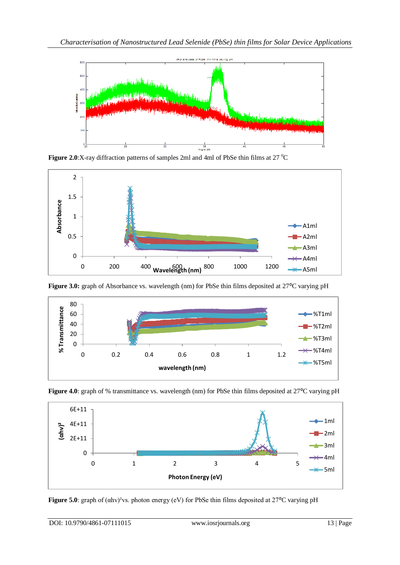

**Figure 2.0**:X-ray diffraction patterns of samples 2ml and 4ml of PbSe thin films at 27<sup>0</sup>C



**Figure 3.0:** graph of Absorbance vs. wavelength (nm) for PbSe thin films deposited at 27<sup>o</sup>C varying pH



**Figure 4.0**: graph of % transmittance vs. wavelength (nm) for PbSe thin films deposited at 27<sup>o</sup>C varying pH



**Figure 5.0**: graph of ( $\alpha$ hv)<sup>2</sup>vs. photon energy (eV) for PbSe thin films deposited at 27<sup>o</sup>C varying pH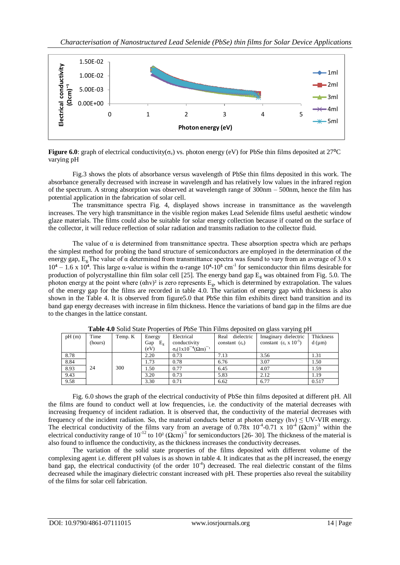

**Figure 6.0**: graph of electrical conductivity( $\sigma_e$ ) vs. photon energy (eV) for PbSe thin films deposited at 27<sup>o</sup>C varying pH

Fig.3 shows the plots of absorbance versus wavelength of PbSe thin films deposited in this work. The absorbance generally decreased with increase in wavelength and has relatively low values in the infrared region of the spectrum. A strong absorption was observed at wavelength range of 300nm – 500nm, hence the film has potential application in the fabrication of solar cell.

The transmittance spectra Fig. 4, displayed shows increase in transmittance as the wavelength increases. The very high transmittance in the visible region makes Lead Selenide films useful aesthetic window glaze materials. The films could also be suitable for solar energy collection because if coated on the surface of the collector, it will reduce reflection of solar radiation and transmits radiation to the collector fluid.

The value of  $\alpha$  is determined from transmittance spectra. These absorption spectra which are perhaps the simplest method for probing the band structure of semiconductors are employed in the determination of the energy gap,  $E_g$ . The value of  $\alpha$  determined from transmittance spectra was found to vary from an average of 3.0 x  $10<sup>4</sup> - 1.6$  x 10<sup>4</sup>. This large α-value is within the α-range  $10<sup>4</sup>-10<sup>5</sup>$  cm<sup>-1</sup> for semiconductor thin films desirable for production of polycrystalline thin film solar cell [25]. The energy band gap  $E_g$  was obtained from Fig. 5.0. The photon energy at the point where  $(\text{ch}v)^2$  is zero represents  $E_g$ , which is determined by extrapolation. The values of the energy gap for the films are recorded in table 4.0. The variation of energy gap with thickness is also shown in the Table 4. It is observed from figure5.0 that PbSe thin film exhibits direct band transition and its band gap energy decreases with increase in film thickness. Hence the variations of band gap in the films are due to the changes in the lattice constant.

| pH(m) | Time    | Temp. K | Energy       | Electrical                           | dielectric<br>Real         | Imaginary dielectric                   | Thickness      |
|-------|---------|---------|--------------|--------------------------------------|----------------------------|----------------------------------------|----------------|
|       | (hours) |         | $E_g$<br>Gap | conductivity                         | constant $(\varepsilon_r)$ | constant $(\epsilon_i \times 10^{-5})$ | $d$ ( $\mu$ m) |
|       |         |         | (eV)         | $\sigma_e(1x10^{-4}(\Omega m)^{-1})$ |                            |                                        |                |
| 8.78  |         |         | 2.20         | 0.73                                 | 7.13                       | 3.56                                   | 1.31           |
| 8.84  |         |         | 1.73         | 0.78                                 | 6.76                       | 3.07                                   | 1.50           |
| 8.93  | 24      | 300     | l.50         | 0.77                                 | 6.45                       | 4.07                                   | 1.59           |
| 9.43  |         |         | 3.20         | 0.73                                 | 5.83                       | 2.12                                   | 1.19           |
| 9.58  |         |         | 3.30         | 0.71                                 | 6.62                       | 6.77                                   | 0.517          |

**Table 4.0** Solid State Properties of PbSe Thin Films deposited on glass varying pH

Fig. 6.0 shows the graph of the electrical conductivity of PbSe thin films deposited at different pH. All the films are found to conduct well at low frequencies, i.e. the conductivity of the material decreases with increasing frequency of incident radiation. It is observed that, the conductivity of the material decreases with frequency of the incident radiation. So, the material conducts better at photon energy (hv)  $\leq$  UV-VIR energy. The electrical conductivity of the films vary from an average of 0.78x  $10^{-4}$ -0.71 x  $10^{-4}$  ( $\Omega$ cm)<sup>-1</sup> within the electrical conductivity range of  $10^{-12}$  to  $10^2 (\Omega \text{cm})^{-1}$  for semiconductors [26-30]. The thickness of the material is also found to influence the conductivity, as the thickness increases the conductivity decreases.

The variation of the solid state properties of the films deposited with different volume of the complexing agent i.e. different pH values is as shown in table 4. It indicates that as the pH increased, the energy band gap, the electrical conductivity (of the order  $10<sup>-4</sup>$ ) decreased. The real dielectric constant of the films decreased while the imaginary dielectric constant increased with pH. These properties also reveal the suitability of the films for solar cell fabrication.